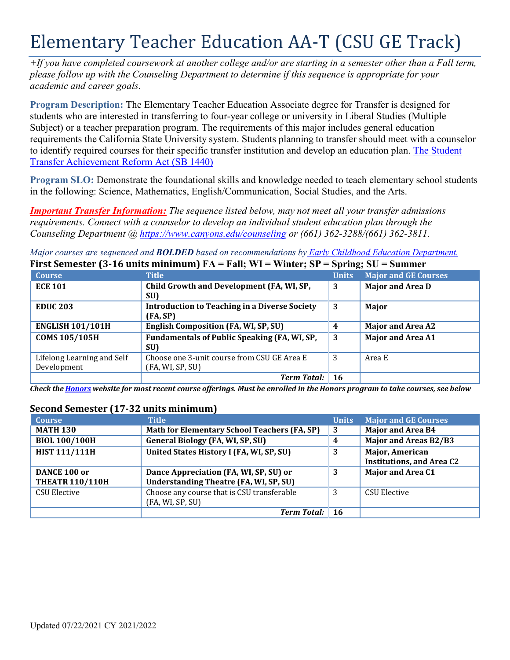# Elementary Teacher Education AA-T (CSU GE Track)

*+If you have completed coursework at another college and/or are starting in a semester other than a Fall term, please follow up with the Counseling Department to determine if this sequence is appropriate for your academic and career goals.*

**Program Description:** The Elementary Teacher Education Associate degree for Transfer is designed for students who are interested in transferring to four-year college or university in Liberal Studies (Multiple Subject) or a teacher preparation program. The requirements of this major includes general education requirements the California State University system. Students planning to transfer should meet with a counselor to identify required courses for their specific transfer institution and develop an education plan. The Student Transfer Achievement Reform Act (SB 1440)

**Program SLO:** Demonstrate the foundational skills and knowledge needed to teach elementary school students in the following: Science, Mathematics, English/Communication, Social Studies, and the Arts.

*Important Transfer Information: The sequence listed below, may not meet all your transfer admissions requirements. Connect with a counselor to develop an individual student education plan through the Counseling Department @ <https://www.canyons.edu/counseling> or (661) 362-3288/(661) 362-3811.*

*Major courses are sequenced and BOLDED based on recommendations by Early Childhood Education Department.* **First Semester (3-16 units minimum) FA = Fall; WI = Winter; SP = Spring; SU = Summer**

|                            |                                                      |              | $\omega_{\rm{p1mL}}, \omega_{\rm{v}}$ $\omega_{\rm{mnmv}}$ |
|----------------------------|------------------------------------------------------|--------------|------------------------------------------------------------|
| <b>Course</b>              | <b>Title</b>                                         | <b>Units</b> | <b>Major and GE Courses</b>                                |
| <b>ECE 101</b>             | Child Growth and Development (FA, WI, SP,            | 3            | <b>Major and Area D</b>                                    |
|                            | SU)                                                  |              |                                                            |
| <b>EDUC 203</b>            | <b>Introduction to Teaching in a Diverse Society</b> | 3            | Major                                                      |
|                            | (FA, SP)                                             |              |                                                            |
| <b>ENGLISH 101/101H</b>    | <b>English Composition (FA, WI, SP, SU)</b>          | 4            | <b>Major and Area A2</b>                                   |
| <b>COMS 105/105H</b>       | Fundamentals of Public Speaking (FA, WI, SP,         | 3            | <b>Major and Area A1</b>                                   |
|                            | SU)                                                  |              |                                                            |
| Lifelong Learning and Self | Choose one 3-unit course from CSU GE Area E          | 3            | Area E                                                     |
| Development                | (FA, WI, SP, SU)                                     |              |                                                            |
|                            | <b>Term Total:</b>                                   | <b>16</b>    |                                                            |

Check the Honors website for most recent course offerings. Must be enrolled in the Honors program to take courses, see below

#### **Course Title Units Major and GE Courses MATH 130 Math for Elementary School Teachers (FA, SP) 3 Major and Area B4 BIOL 100/100H General Biology (FA, WI, SP, SU) 4 Major and Areas B2/B3 HIST 111/111H United States History I (FA, WI, SP, SU) 3 Major, American Institutions, and Area C2 DANCE 100 or THEATR 110/110H Dance Appreciation (FA, WI, SP, SU) or Understanding Theatre (FA, WI, SP, SU) 3 Major and Area C1** CSU Elective CSU Elective Choose any course that is CSU transferable (FA, WI, SP, SU) 3 CSU Elective *Term Total:* **16**

# **Second Semester (17-32 units minimum)**